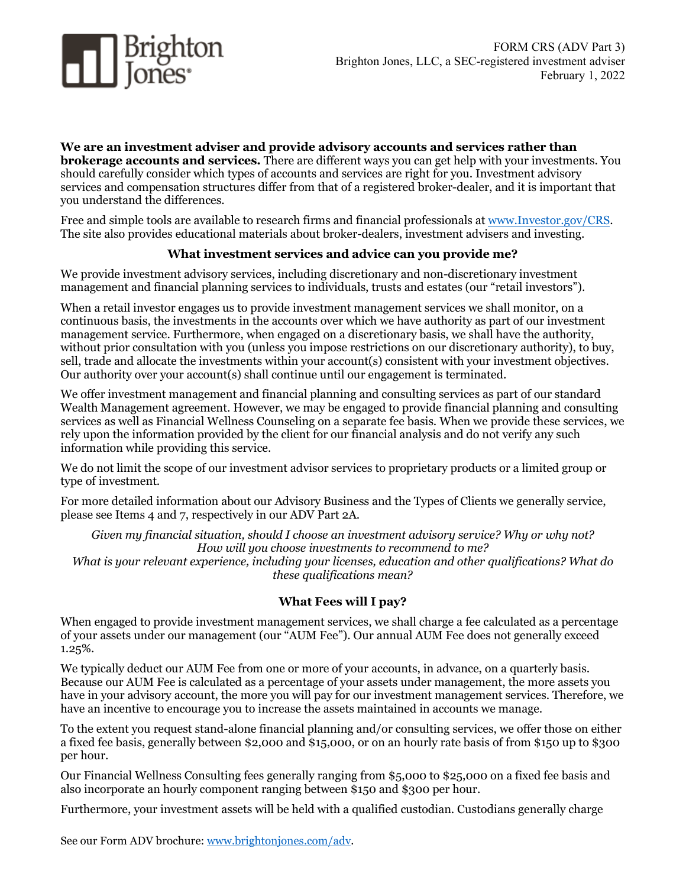

## **We are an investment adviser and provide advisory accounts and services rather than**

**brokerage accounts and services.** There are different ways you can get help with your investments. You should carefully consider which types of accounts and services are right for you. Investment advisory services and compensation structures differ from that of a registered broker-dealer, and it is important that you understand the differences.

Free and simple tools are available to research firms and financial professionals at [www.Investor.gov/CRS.](http://www.investor.gov/CRS) The site also provides educational materials about broker-dealers, investment advisers and investing.

### **What investment services and advice can you provide me?**

We provide investment advisory services, including discretionary and non-discretionary investment management and financial planning services to individuals, trusts and estates (our "retail investors").

When a retail investor engages us to provide investment management services we shall monitor, on a continuous basis, the investments in the accounts over which we have authority as part of our investment management service. Furthermore, when engaged on a discretionary basis, we shall have the authority, without prior consultation with you (unless you impose restrictions on our discretionary authority), to buy, sell, trade and allocate the investments within your account(s) consistent with your investment objectives. Our authority over your account(s) shall continue until our engagement is terminated.

We offer investment management and financial planning and consulting services as part of our standard Wealth Management agreement. However, we may be engaged to provide financial planning and consulting services as well as Financial Wellness Counseling on a separate fee basis. When we provide these services, we rely upon the information provided by the client for our financial analysis and do not verify any such information while providing this service.

We do not limit the scope of our investment advisor services to proprietary products or a limited group or type of investment.

For more detailed information about our Advisory Business and the Types of Clients we generally service, please see Items 4 and 7, respectively in our ADV Part 2A.

*Given my financial situation, should I choose an investment advisory service? Why or why not? How will you choose investments to recommend to me? What is your relevant experience, including your licenses, education and other qualifications? What do these qualifications mean?*

### **What Fees will I pay?**

When engaged to provide investment management services, we shall charge a fee calculated as a percentage of your assets under our management (our "AUM Fee"). Our annual AUM Fee does not generally exceed 1.25%.

We typically deduct our AUM Fee from one or more of your accounts, in advance, on a quarterly basis. Because our AUM Fee is calculated as a percentage of your assets under management, the more assets you have in your advisory account, the more you will pay for our investment management services. Therefore, we have an incentive to encourage you to increase the assets maintained in accounts we manage.

To the extent you request stand-alone financial planning and/or consulting services, we offer those on either a fixed fee basis, generally between \$2,000 and \$15,000, or on an hourly rate basis of from \$150 up to \$300 per hour.

Our Financial Wellness Consulting fees generally ranging from \$5,000 to \$25,000 on a fixed fee basis and also incorporate an hourly component ranging between \$150 and \$300 per hour.

Furthermore, your investment assets will be held with a qualified custodian. Custodians generally charge

See our Form ADV brochure: [www.brightonjones.com/adv.](http://www.brightonjones.com/adv)